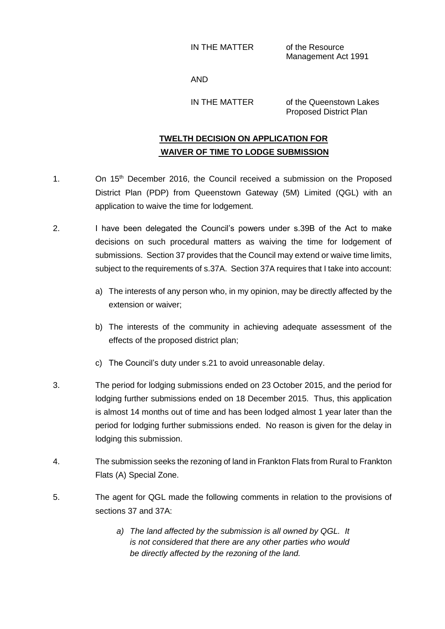IN THE MATTER of the Resource

Management Act 1991

AND

IN THE MATTER of the Queenstown Lakes Proposed District Plan

## **TWELTH DECISION ON APPLICATION FOR WAIVER OF TIME TO LODGE SUBMISSION**

- 1. On 15<sup>th</sup> December 2016, the Council received a submission on the Proposed District Plan (PDP) from Queenstown Gateway (5M) Limited (QGL) with an application to waive the time for lodgement.
- 2. I have been delegated the Council's powers under s.39B of the Act to make decisions on such procedural matters as waiving the time for lodgement of submissions. Section 37 provides that the Council may extend or waive time limits, subject to the requirements of s.37A. Section 37A requires that I take into account:
	- a) The interests of any person who, in my opinion, may be directly affected by the extension or waiver;
	- b) The interests of the community in achieving adequate assessment of the effects of the proposed district plan;
	- c) The Council's duty under s.21 to avoid unreasonable delay.
- 3. The period for lodging submissions ended on 23 October 2015, and the period for lodging further submissions ended on 18 December 2015. Thus, this application is almost 14 months out of time and has been lodged almost 1 year later than the period for lodging further submissions ended. No reason is given for the delay in lodging this submission.
- 4. The submission seeks the rezoning of land in Frankton Flats from Rural to Frankton Flats (A) Special Zone.
- 5. The agent for QGL made the following comments in relation to the provisions of sections 37 and 37A:
	- *a) The land affected by the submission is all owned by QGL. It is not considered that there are any other parties who would be directly affected by the rezoning of the land.*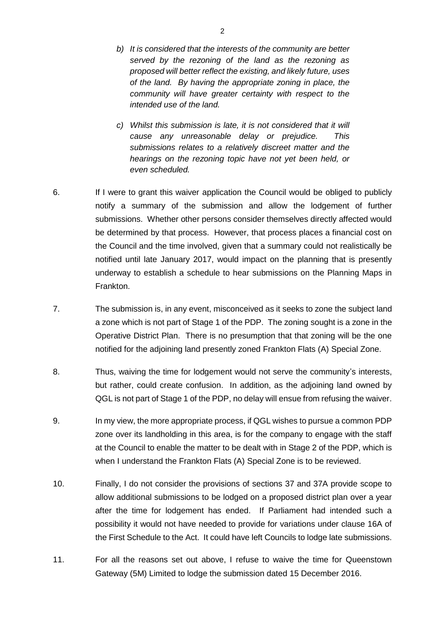*b) It is considered that the interests of the community are better served by the rezoning of the land as the rezoning as proposed will better reflect the existing, and likely future, uses of the land. By having the appropriate zoning in place, the community will have greater certainty with respect to the intended use of the land.*

*c) Whilst this submission is late, it is not considered that it will cause any unreasonable delay or prejudice. This submissions relates to a relatively discreet matter and the hearings on the rezoning topic have not yet been held, or even scheduled.*

- 6. If I were to grant this waiver application the Council would be obliged to publicly notify a summary of the submission and allow the lodgement of further submissions. Whether other persons consider themselves directly affected would be determined by that process. However, that process places a financial cost on the Council and the time involved, given that a summary could not realistically be notified until late January 2017, would impact on the planning that is presently underway to establish a schedule to hear submissions on the Planning Maps in Frankton.
- 7. The submission is, in any event, misconceived as it seeks to zone the subject land a zone which is not part of Stage 1 of the PDP. The zoning sought is a zone in the Operative District Plan. There is no presumption that that zoning will be the one notified for the adjoining land presently zoned Frankton Flats (A) Special Zone.
- 8. Thus, waiving the time for lodgement would not serve the community's interests, but rather, could create confusion. In addition, as the adjoining land owned by QGL is not part of Stage 1 of the PDP, no delay will ensue from refusing the waiver.
- 9. In my view, the more appropriate process, if QGL wishes to pursue a common PDP zone over its landholding in this area, is for the company to engage with the staff at the Council to enable the matter to be dealt with in Stage 2 of the PDP, which is when I understand the Frankton Flats (A) Special Zone is to be reviewed.
- 10. Finally, I do not consider the provisions of sections 37 and 37A provide scope to allow additional submissions to be lodged on a proposed district plan over a year after the time for lodgement has ended. If Parliament had intended such a possibility it would not have needed to provide for variations under clause 16A of the First Schedule to the Act. It could have left Councils to lodge late submissions.
- 11. For all the reasons set out above, I refuse to waive the time for Queenstown Gateway (5M) Limited to lodge the submission dated 15 December 2016.